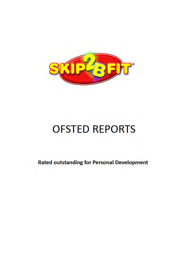

# **OFSTED REPORTS**

**Rated outstanding for Personal Development**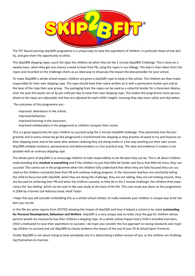

The YST Award winning skip2bfit programme is a unique way to raise the aspirations of children, in particular those of low ability, and give them the opportunity to shine.

The Skip2Bfit skipping ropes count the skips the children do when they do the 2 minute Skip2Bfit Challenge. This is done on a weekly basis, when they get one chance a week to beat their PB, using the ropes in our kitbags. The data is then taken from the ropes and recorded on the challenge charts as an ideal way to showcase the impact the data provides for your school.

To make Skip2Bfit a whole school impact, children are given a skip2bfit rope to keep in the school. The children are then made responsible for their own skipping rope. The rope should have their name written on it with a permanent marker pen and at the base of the rope their year group. The packaging from the ropes can be used as a colourful border for a classroom display. Over the year this works out at 2p per child per day to have their own skipping rope. This makes the programme more personalised as the ropes are adjustable and they are adjusted for each child's height, meaning they skip more safely and skip better.

The outcomes of this programme are;-

improved attendance in the school, improved behaviour improved learning in the classroom, improved collaboration in the playground as children compare their scores

This is a great opportunity for your children to succeed using the 2 minute skip2bfit challenge. They absolutely love the programme and in every school we go the playground is transformed into skipping as they practice all week to try and improve on their skipping score and at the same time without realising they are doing maths in a fun way working out their own scores. Skip2Bfit embeds resilience, perseverance and determination in a fun practical way. The data and evidence it creates is not possible with an ordinary skipping rope

The whole point of skip2bfit is to encourage children to take responsibility to be the best they can be. This is all about children understanding that **mindset is everything** and if the children try just that little bit harder and focus that little bit more, they can succeed. This comes out in the programme when the children fully understand that when they are fully focused they can succeed as the children constantly beat their PB and continue making progress. In the classroom teachers are constantly telling the child to focus but with skip2bfit, when they are doing the challenge, they are not talking, they are not looking around, they are focused on achieving their PB and when the children succeed, as they do in the 2 minute challenge, the children then experience the 'yes feeling' which can be seen in the case study at the back of the file. This case study was done on this programme in 2004 by a former LEA Advisory head, Heidi Taylor.

I hope that you will consider embedding this as a whole school initiate, to really motivate your children in unique way to be the best you can be.

In this file are some reports from OFSTED showing the impact of skip2bfit and how it helped a school to be rated **outstanding for Personal Development, Behaviour and Welfare**. Skip2bfit is a very unique way to really close the gap for children whose parents would not necessarily buy their children a skipping rope. As a whole school impact every child is included and every child is motivated to raise their aspirations to succeed. I do hope you consider this fun approach to raising standards and inspiring children to succeed and use Skip2Bfit to clearly evidence the impact of the use of your PE & School Sport Premium.

Finally Skip2Bfit is not about trying to beat somebody else it is about being a better version of you, as the children are challenging themselves to improve.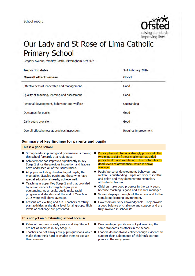

## Our Lady and St Rose of Lima Catholic **Primary School**

Gregory Avenue, Weoley Castle, Birmingham B29 5DY

| <b>Inspection dates</b><br><b>Overall effectiveness</b> | 3-4 February 2016<br>Good |
|---------------------------------------------------------|---------------------------|
|                                                         |                           |
| Quality of teaching, learning and assessment            | Good                      |
| Personal development, behaviour and welfare             | Outstanding               |
| Outcomes for pupils                                     | Good                      |
| Early years provision                                   | Good                      |
| Overall effectiveness at previous inspection            | Requires improvement      |

#### Summary of key findings for parents and pupils

#### This is a good school

- Strong leadership and good governance is moving Pupils' physical fitness is strongly promoted. The this school forwards at a rapid pace.
- Achievement has improved significantly in Key Stage 2 since the previous inspection and leaders have addressed all of the issues raised.
- All pupils, including disadvantaged pupils, the most able, disabled pupils and those who have special educational needs, achieve well.
- Teaching in upper Key Stage 2 and that provided by senior leaders for targeted groups is outstanding. As a result, pupils make rapid progress and standards at the end of Year 6 in 2015 were well above average.
- Lessons are exciting and fun. Teachers carefully plan activities at the right level for all groups. High levels of challenge are presented.
- two-minute daily fitness challenge has aided pupils' health and well-being. This contributes to good levels of attendance, which is above average.
- Pupils' personal development, behaviour and welfare is outstanding. Pupils are very respectful and polite and they demonstrate exemplary attitudes to learning.
- Children make good progress in the early years because teaching is good and it is well managed.
- Vibrant displays throughout the school add to the stimulating learning environment.
- Governors are very knowledgeable. They provide  $\blacksquare$ a good balance of challenge and support and are fully involved in school life.
- Rates of progress in early years and Key Stage 1 are not as rapid as in Key Stage 2.

It is not yet an outstanding school because

- Teachers do not always ask pupils questions which make them think hard or enable them to explain their answers.
- Disadvantaged pupils are not yet reaching the same standards as others in the school.
	- Leaders do not always collect enough evidence to support their judgements of children's starting points in the early years.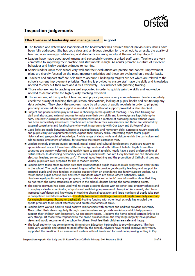

### **Inspection judgements**

#### **Effectiveness of leadership and management** is good

- The focused and determined leadership of the headteacher has ensured that all previous key issues have been fully addressed. She has set a clear and ambitious direction for the school. As a result, the quality of teaching is increasingly outstanding and standards are rising rapidly at the end of Key Stage 2.
- Leaders have made good appointments and successfully created a united staff team. Teachers are very committed to improving their practice and staff morale is high. All adults promote a culture of excellent behaviour and highly positive attitudes to learning.
- Senior leaders know their school very well and their evaluations are precise and honest. Improvement plans are sharply focused on the most important priorities and these are evaluated on a regular basis.
- Teachers and support staff are held fully to account. Challenging targets are set which are related to the school's current improvement priorities. Training is provided to ensure staff have the skills and knowledge needed to carry out their roles and duties effectively. This includes safeguarding training.
- Those who are new to teaching are well supported in order to quickly gain the skills and knowledge needed to demonstrate the high-quality teaching expected.
- The monitoring of the quality of teaching and pupils' progress is very comprehensive. Leaders regularly check the quality of teaching through lesson observations, looking at pupils' books and scrutinising any data collected. They check the progress made by all groups of pupils regularly in order to pinpoint precisely where additional support is needed. Any additional support provided is also checked.
- Subject and phase leaders play a full role in checking on the quality of teaching. They lead training for staff and also attend external courses to make sure their own skills and knowledge are kept fully up to date. The new curriculum has been fully implemented and a method of assessing pupils without levels has been successfully introduced. Teachers are accurate in their assessments and these are validated by external consultants and local schools who work in partnership with Our Lady and St Rose of Lima.
- Good links are made between subjects to develop literacy and numeracy skills. Science is taught regularly and pupils carry out experiments which expand their enquiry skills. Interesting topics foster pupils' historical and geographical knowledge. A wide range of clubs, visits and visitors enrich the curriculum and add to pupils' enjoyment of school, for example the recent cartoonist visit.
- Leaders strongly promote pupils' spiritual, moral, social and cultural development. Pupils are taught to appreciate and respect those from different backgrounds and with different beliefs. Pupils from other countries are warmly welcomed and quickly learn to speak English. Pupils have a good understanding of British values. In describing democracy one Year 6 pupil wrote: 'we are lucky because we can choose and elect our leaders, some countries can't.' Through good teaching and the promotion of Catholic virtues and values, pupils are well prepared for life in modern Britain.
- Leaders have taken steps to make sure that disadvantaged pupils make as much progress as other pupils in the school. The pupil premium is used to good effect to provide good-quality teaching and support for targeted pupils and their families, including support from an attendance and family support worker. As a result, these pupils achieve well and reach standards which are above others nationally. While disadvantaged pupils make good progress, published data and schools' own information show that they do not reach the same standards as others in the school, despite having the same starting points.
- The sports premium has been used well to create a sports cluster with six other local primary schools and to employ a cluster coordinator, a 'sports and well-being improvement champion'. As a result, staff have increased confidence and knowledge in teaching physical education and large numbers of pupils take part in competitive and fitness activities. The daily two-minute challenge ensures all pupils have daily exercise. for example skipping, boxing or basketball. Pooling funding with other local schools has enabled the sports premium to be spent effectively and create economies of scale.
- Leaders have worked hard to build positive relationships with parents and address previous concerns. They collect their views regularly through questionnaires and provide workshops which help parents support their children with homework. As one parent wrote, 'I believe the home-school learning link to be very strong.' Of those who responded to the online questionnaire, the very large majority have positive views and would recommend the school to others. Most feel their children are safe and happy.
- The local authority has commissioned Birmingham Education Partnership to provide support. This has been very valuable and utilised to good effect by the school. Advisers have helped improve early years, supported the creation of an assessment system without levels and focused on improving writing in Key

Inspection report: Our Lady and St Rose of Lima Catholic Primary, 3-4 February 2016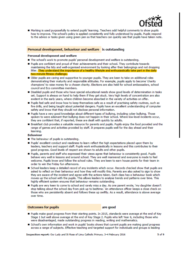

Marking is used purposefully to extend pupils' learning. Teachers add helpful comments to show pupils how to improve. The school's policy is applied consistently and fully understood by pupils. Pupils respond to the advice or tasks given using green pen so that teachers can quickly see that pupils have taken note.

#### Personal development, behaviour and welfare is outstanding

#### Personal development and welfare

- The school's work to promote pupils' personal development and welfare is outstanding.
- Pupils are confident and proud of their achievements and their school. They contribute towards maintaining the tidy and well-organised environment by looking after their belongings and not dropping litter. They understand the importance of a healthy lifestyle and enthusiastically take part in the daily two-minute fitness challenge.
- Older pupils are caring and supportive to younger pupils. They are keen to take on additional roles demonstrating their maturity and responsible attitudes. For example, pupils apply to become 'charity champions' to raise money for a chosen charity. Elections are also held for school ambassadors, school council and Eco committee members.
- Disabled pupils and those who have special educational needs show good levels of determination in tasks set. Support is always on hand to help them if they get stuck. Very high levels of concentration are also evident in the early years, where children become absorbed in the variety of activities on offer.
- pupils feel safe and know how to keep themselves safe as a result of practising safety routines, such as fire drills, and being taught about potential dangers. Pupils have an excellent understanding of computer safety and know that they should not disclose personal information.
- Pupils have a very good knowledge about different types of bullying, including cyber bullying. Those spoken to were adamant that bullying does not happen in their school. Where low-level incidents occur, they are confident that, if reported, these are dealt with quickly by adults.
- Breakfast club provides a valuable resource for parents and pupils. Pupils eniov the food provided and the range of games and activities provided by staff. It prepares pupils well for the day ahead and their learning.

#### **Behaviour**

- The behaviour of pupils is outstanding.
- publis' excellent conduct and readiness to learn reflect the high expectations placed upon them by leaders, teachers and support staff. Pupils work enthusiastically in lessons and this contributes to their good progress. Good levels of respect are shown to adults and other pupils.
- Pupils, parents and staff who expressed their views agree that behaviour is consistently good. Pupils behave very well in lessons and around school. They are well mannered and everyone is made to feel welcome. Pupils know and follow the school rules. They are keen to earn house points for their team in order to win the Friday fun afternoons.
- School leaders keep a detailed record of any incidents which occur. Records checked show that pupils are asked to reflect on their behaviour and how they will modify this. Parents are also asked to sign to show they are aware of the incident and agree with the actions taken. Each class has a behaviour book which moves up the school with the pupils. This allows leaders to analyse trends and patterns over time. This highly efficient system ensures that behaviour remains outstanding.
- Pupils are very keen to come to school and rarely miss a day. As one parent wrote, 'my daughter doesn't stop talking about the school day from pick up to bedtime.' An attendance officer keeps a close check on those who are persistently absent and follows these up swiftly. As a result, attendance is above average over time.

#### **Outcomes for pupils**

are good

- Pupils make good progress from their starting points. In 2015, standards were average at the end of Key Stage 1 but well above average at the end of Key Stage 2. Pupils who left Year 6, including those who were disadvantaged, made outstanding progress in reading, writing and mathematics.
- School's own information and work in pupils' books shows that current pupils are making good progress across a range of subjects. Effective teaching and targeted support for individuals and groups is leading

Inspection report: Our Lady and St Rose of Lima Catholic Primary, 3-4 February 2016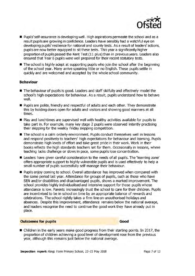

- Pupils' self-assurance is developing well. High aspirations permeate the school and as a result pupils are growing in confidence. Leaders have sensibly had a watchful eye on developing pupils' resilience for national and county tests. As a result of leaders' actions, pupils are now better equipped to sit these tests. This year a significantly higher proportion of pupils passed the Kent Test (11 plus) than in previous years. Leaders also ensured that Year 6 pupils were well prepared for their recent statutory tests.
- The school is highly adept at supporting pupils who join the school after the beginning of the school year. Many arrive speaking little or no English. These pupils settle in quickly and are welcomed and accepted by the whole school community.

#### **Behaviour**

- The behaviour of pupils is good. Leaders and staff skilfully and effectively model the school's high expectations for behaviour. As a result, pupils understand how to behave well.
- Pupils are polite, friendly and respectful of adults and each other. They demonstrate this by holding doors open for adults and visitors and showing good manners at all times.
- Play and lunchtimes are supervised well with healthy activities available for pupils to take part in. For example, many key stage 2 pupils were observed intently practising their skipping for the weekly Friday skipping competition.
- The school is a calm orderly environment. Pupils conduct themselves well in lessons and respond positively to teachers' high expectations for behaviour and learning. Pupils demonstrate high levels of effort and take great pride in their work. Work in their books reflects the high standards teachers set for them. Occasionally in lessons, where teaching lacks challenge or slows in pace, some pupils lose concentration.
- Leaders have given careful consideration to the needs of all pupils. The 'learning zone' offers appropriate support to highly vulnerable pupils and is used effectively to help a small number of pupils successfully self-manage their behaviour.
- Pupils enjoy coming to school. Overall attendance has improved when compared with the same period last year. Attendance for groups of pupils, such as those who have SEN and/or disabilities and disadvantaged pupils, shows a marked improvement. The school provides highly individualised and intensive support for those pupils whose attendance is low. Parents increasingly trust the school to care for their children. Pupils are incentivised to be in school on time by an appropriate balance of rewards and celebrations. The school rightly takes a firm line on unauthorised holidays and absences. Despite this improvement, attendance remains below the national average, and leaders recognise the need to continue the good work they have already put in place.

#### **Outcomes for pupils**

#### Good

■ Children in the early years make good progress from their starting points. In 2017, the proportion of children achieving a good level of development rose from the previous year, although this remains just below the national average.

Inspection report: Kings Farm Primary School, 22-23 May 2018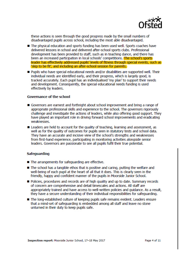

these actions is seen through the good progress made by the small numbers of disadvantaged pupils across school, including the most able disadvantaged.

- The physical education and sports funding has been used well. Sports coaches have delivered lessons in school and delivered after-school sports clubs. Professional development has been provided to staff, such as in teaching dance, and there has been an increased participation in local schools' competitions. The school's sports leader has effectively addressed pupils' levels of fitness through special events, such as 'skip to be fit', and including an after-school session for parents.
- Pupils who have special educational needs and/or disabilities are supported well. Their individual needs are identified early, and their progress, which is largely good, is tracked accurately. Each pupil has an individualised 'my plan' to support their needs and development. Consequently, the special educational needs funding is used effectively by leaders.

#### Governance of the school

- Governors are earnest and forthright about school improvement and bring a range of appropriate professional skills and experience to the school. The governors rigorously challenge and investigate the actions of leaders, while also offering good support. They have played an important role in driving forward school improvements and eradicating weaknesses.
- Leaders are held to account for the quality of teaching, learning and assessment, as well as for the quality of outcomes for pupils seen in statutory tests and school data. They have an accurate and incisive view of the school's strengths and weaknesses from first-hand experience, participating in monitoring activities alongside senior leaders. Governors are passionate to see all pupils fulfil their true potential.

#### **Safeguarding**

- The arrangements for safeguarding are effective.
- The school has a tangible ethos that is positive and caring, putting the welfare and well-being of each pupil at the heart of all that it does. This is clearly seen in the friendly, happy and confident manner of the pupils in Moorside Junior School.
- Policies, procedures and records are of high quality and up to date. Summary records of concern are comprehensive and detail timescales and actions. All staff are appropriately trained and have access to well-written policies and quidance. As a result. they have a secure understanding of their individual responsibilities for safeguarding.
- The long-established culture of keeping pupils safe remains evident. Leaders ensure that a mind-set of safeguarding is embedded among all staff and leave no stone unturned in their duty to keep pupils safe.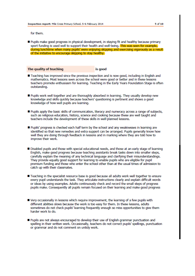for them.

Pupils make good progress in physical development, in staying fit and healthy because primary sport funding is used well to support their health and well-being. This was seen for example. during lunchtime when many pupils' were enjoying skipping and exercising vigorously as a result of the initiative to encourage skipping to stay healthy.

The quality of teaching is good

- Teaching has improved since the previous inspection and is now good, including in English and mathematics. Most lessons seen across the school were good or better and in these lessons teachers promote enthusiasm for learning. Teaching in the Early Years Foundation Stage is often outstanding.
- Pupils work well together and are thoroughly absorbed in learning. They usually develop new knowledge and skills quickly because teachers' questioning is pertinent and shows a good knowledge of how well pupils are learning.
- Pupils apply the basic skills of communication, literacy and numeracy across a range of subjects, such as religious education, history, science and cooking because these are well taught and teachers include the development of these skills in well-planned lessons.
- Pupils' progress is checked each half term by the school and any weaknesses in learning are identified so that new remedies and extra support can be arranged. Pupils generally know how well they are doing through feedback in lessons and in marking where they are told how to improve their work.
- Disabled pupils and those with special educational needs, and those at an early stage of learning English, make good progress because teaching assistants break tasks down into smaller steps, carefully explain the meaning of any technical language and clarifying their misunderstandings. They provide equally good support for learning to enable pupils who are eligible for pupil premium funding and those who enter the school other than at the usual times of admission to catch up with their classmates.
- Teaching in the specialist resource base is good because all adults work well together to ensure every pupil understands the task. They articulate instructions clearly and explain difficult words or ideas by using examples. Adults continuously check and record the small steps of progress pupils make. Consequently all pupils remain focused on their learning and make good progress
- Very occasionally in lessons which require improvement, the learning of a few pupils with different abilities slows because the work is too easy for them. In these lessons, adults sometimes do not check pupils' learning frequently enough so miss opportunities to give them harder work to do.
- Pupils are not always encouraged to develop their use of English grammar punctuation and spelling in their written work. Occasionally, teachers do not correct pupils' spellings, punctuation or grammar and do not comment on untidy work.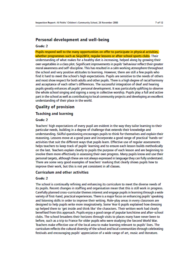#### **Personal development and well-being**

#### Grade: 2

Pupils respond well to the many opportunities on offer to participate in physical activities, whether programmes such as Skip2BFit, regular lessons or after-school sports clubs. Their understanding of what makes for a healthy diet is increasing, helped along by growing their own vegetables in a class plot. Significant improvements in pupils' behaviour reflect their greater moral awareness and self-discipline. This has resulted in a calm working atmosphere throughout the school and very positive attitudes to learning. However, there are still a few pupils who find it hard to meet the school's high expectations. Pupils are sensitive to the needs of others and most show respect for both adults and other pupils. There is a high degree of racial harmony and acceptance of each other's differences. The successful integration of deaf and hearing pupils greatly enhances all pupils' personal development. It was particularly uplifting to observe the whole school singing and signing a song in collective worship. Pupils play a full and active part in the school as well as contributing to local community projects and developing an excellent understanding of their place in the world.

#### **Quality of provision**

#### **Teaching and learning**

#### **Grade: 2**

Teachers' high expectations of every pupil are evident in the way they tailor learning to their particular needs, building in a degree of challenge that extends their knowledge and understanding. Skilful questioning encourages pupils to think for themselves and explain their reasoning. Lessons move at a good pace and incorporate a good range of practical 'hands-on' activities that suit the different ways that pupils learn. Effective use of regular assessments helps teachers to keep track of pupils' learning and to ensure each lesson builds methodically on the last. Teachers explain clearly to pupils the purpose of each lesson and are beginning to involve them more effectively in assessing their own progress. Many pupils know and use their personal targets, although these are not always expressed in language they can fully understand. There are some very good examples of teachers' marking that clearly shows pupils how to improve their work, but this is not yet consistent in all classes.

#### **Curriculum and other activities**

#### Grade: 2

The school is continually refining and enhancing its curriculum to meet the diverse needs of its pupils. Recent changes in staffing and organisation mean that this is still work in progress. Carefully planned cross-curricular themes interest and engage pupils in learning through a wide variety of first-hand, practical experiences. There is a major focus on enhancing pupils' speaking and listening skills in order to improve their writing. Role-play areas in every classroom are designed to help pupils write more imaginatively. Some Year 6 pupils explained how dressing up helped them to 'get inside and think like' the characters. Their written work had clearly benefited from this approach. Pupils enjoy a good range of popular lunchtime and after-school clubs. The school broadens their horizons through visits to places many have never been to before, such as a trip to France for older pupils who were studying the Second World War. Teachers make effective use of the local area to make learning relevant to pupils' lives. The curriculum reflects the cultural diversity of the school and local communities through celebrating festivals and encouraging pupils' appreciation of a wide range of art, music and literature.